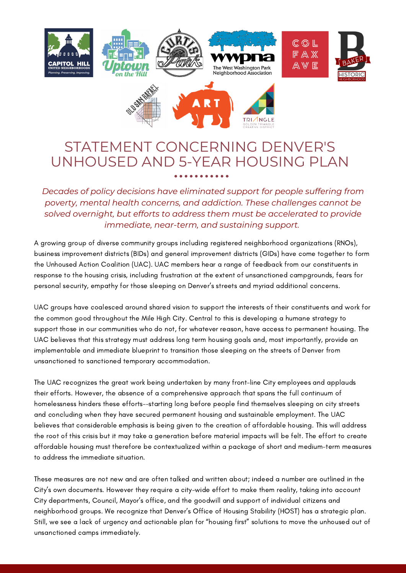

## STATEMENT CONCERNING DENVER'S UNHOUSED AND 5-YEAR HOUSING PLAN

*Decades of policy decisions have eliminated support for people suffering from poverty, mental health concerns, and addiction. These challenges cannot be solved overnight, but efforts to address them must be accelerated to provide immediate, near-term, and sustaining support.*

A growing group of diverse community groups including registered neighborhood organizations (RNOs), business improvement districts (BIDs) and general improvement districts (GIDs) have come together to form the Unhoused Action Coalition (UAC). UAC members hear a range of feedback from our constituents in response to the housing crisis, including frustration at the extent of unsanctioned campgrounds, fears for personal security, empathy for those sleeping on Denver's streets and myriad additional concerns.

UAC groups have coalesced around shared vision to support the interests of their constituents and work for the common good throughout the Mile High City. Central to this is developing a humane strategy to support those in our communities who do not, for whatever reason, have access to permanent housing. The UAC believes that this strategy must address long term housing goals and, most importantly, provide an implementable and immediate blueprint to transition those sleeping on the streets of Denver from unsanctioned to sanctioned temporary accommodation.

The UAC recognizes the great work being undertaken by many front-line City employees and applauds their efforts. However, the absence of a comprehensive approach that spans the full continuum of homelessness hinders these efforts--starting long before people find themselves sleeping on city streets and concluding when they have secured permanent housing and sustainable employment. The UAC believes that considerable emphasis is being given to the creation of affordable housing. This will address the root of this crisis but it may take a generation before material impacts will be felt. The effort to create affordable housing must therefore be contextualized within a package of short and medium-term measures to address the immediate situation.

These measures are not new and are often talked and written about; indeed a number are outlined in the City's own documents. However they require a city-wide effort to make them reality, taking into account City departments, Council, Mayor's office, and the goodwill and support of individual citizens and neighborhood groups. We recognize that Denver's Office of Housing Stability (HOST) has a strategic plan. Still, we see a lack of urgency and actionable plan for "housing first" solutions to move the unhoused out of unsanctioned camps immediately.